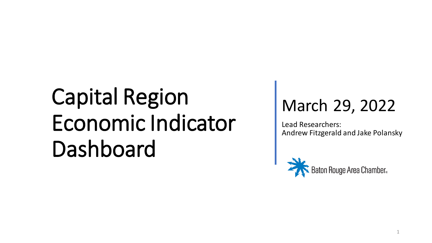#### March 29, 2022

Lead Researchers: Andrew Fitzgerald and Jake Polansky

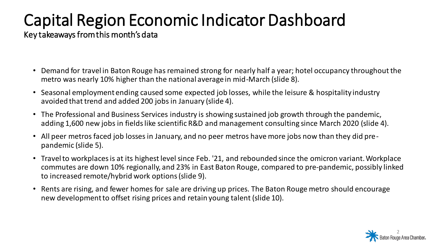Key takeaways from this month's data

- Demand for travel in Baton Rouge has remained strong for nearly half a year; hotel occupancy throughout the metro was nearly 10% higher than the national average in mid-March (slide 8).
- Seasonal employment ending caused some expected job losses, while the leisure & hospitality industry avoided that trend and added 200 jobs in January (slide 4).
- The Professional and Business Services industry is showing sustained job growth through the pandemic, adding 1,600 new jobs in fields like scientific R&D and management consulting since March 2020 (slide 4).
- All peer metros faced job losses in January, and no peer metros have more jobs now than they did prepandemic (slide 5).
- Travel to workplaces is at its highest level since Feb. '21, and rebounded since the omicron variant. Workplace commutes are down 10% regionally, and 23% in East Baton Rouge, compared to pre-pandemic, possibly linked to increased remote/hybrid work options(slide 9).
- Rents are rising, and fewer homes for sale are driving up prices. The Baton Rouge metro should encourage new development to offset rising prices and retain young talent (slide 10).

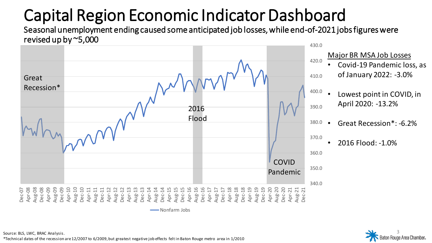Seasonal unemployment ending caused some anticipated job losses, while end-of-2021 jobs figures were revised up by ~5,000





\*Technical dates of the recession are 12/2007 to 6/2009, but greatest negative job effects felt in Baton Rouge metro area in 1/2010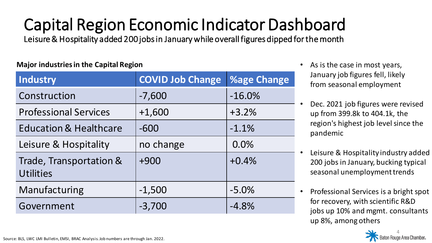Leisure & Hospitality added 200 jobs in January while overall figures dipped for the month

#### **Major industries in the Capital Region**

| <b>Industry</b>                             | <b>COVID Job Change</b> | <b>%age Change</b> |
|---------------------------------------------|-------------------------|--------------------|
| Construction                                | $-7,600$                | $-16.0%$           |
| <b>Professional Services</b>                | $+1,600$                | $+3.2%$            |
| <b>Education &amp; Healthcare</b>           | $-600$                  | $-1.1%$            |
| Leisure & Hospitality                       | no change               | 0.0%               |
| Trade, Transportation &<br><b>Utilities</b> | $+900$                  | $+0.4%$            |
| Manufacturing                               | $-1,500$                | $-5.0%$            |
| Government                                  | $-3,700$                | $-4.8%$            |

As is the case in most years, January job figures fell, likely from seasonal employment

- Dec. 2021 job figures were revised up from 399.8k to 404.1k, the region's highest job level since the pandemic
- Leisure & Hospitality industry added 200 jobs in January, bucking typical seasonal unemployment trends
- Professional Services is a bright spot for recovery, with scientific R&D jobs up 10% and mgmt. consultants up 8%, among others

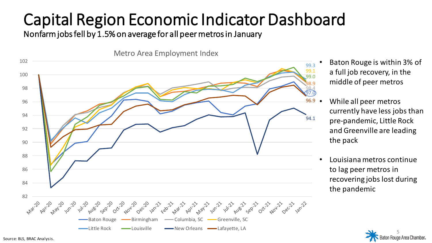Nonfarm jobs fell by 1.5% on average for all peer metros in January



- Baton Rouge is within 3% of a full job recovery, in the middle of peer metros
- While all peer metros currently have less jobs than pre-pandemic, Little Rock and Greenville are leading the pack
- Louisiana metros continue to lag peer metros in recovering jobs lost during the pandemic



Source: BLS, BRAC Analysis.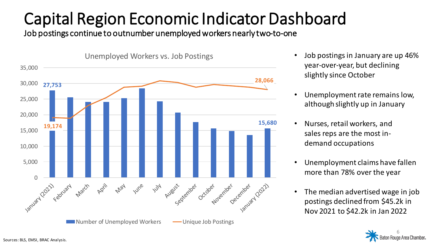Job postings continue to outnumber unemployed workers nearly two-to-one



- Job postings in January are up 46% year-over-year, but declining slightly since October
- Unemployment rate remains low, although slightly up in January
- Nurses, retail workers, and sales reps are the most indemand occupations
- Unemployment claims have fallen more than 78% over the year
- The median advertised wage in job postings declined from \$45.2k in Nov 2021 to \$42.2k in Jan 2022

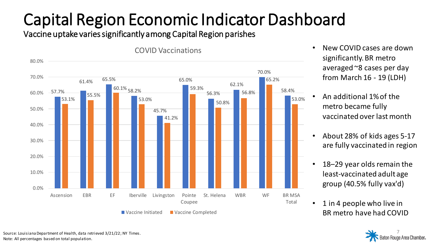Vaccine uptake varies significantly among Capital Region parishes



- New COVID cases are down significantly. BR metro averaged ~8 cases per day from March 16 - 19 (LDH)
- An additional 1% of the metro became fully vaccinated over last month
- About 28% of kids ages 5-17 are fully vaccinated in region
- 18–29 year olds remain the least-vaccinated adult age group (40.5% fully vax'd)
- 1 in 4 people who live in BR metro have had COVID



Source: Louisiana Department of Health, data retrieved 3/21/22; NY Times. Note: All percentages based on total population.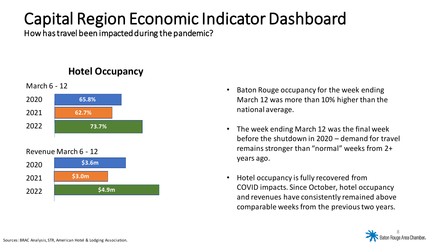How has travel been impacted during the pandemic?

#### **Hotel Occupancy**



Revenue March 6 - 12



- Baton Rouge occupancy for the week ending March 12 was more than 10% higher than the national average.
- The week ending March 12 was the final week before the shutdown in 2020 – demand for travel remains stronger than "normal" weeks from 2+ years ago.
- Hotel occupancy is fully recovered from COVID impacts. Since October, hotel occupancy and revenues have consistently remained above comparable weeks from the previous two years.

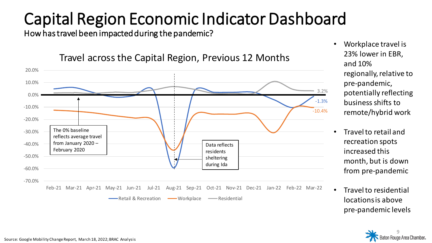How has travel been impacted during the pandemic?



Travel across the Capital Region, Previous 12 Months

- Workplace travel is 23% lower in EBR, and 10% regionally, relative to pre-pandemic, potentially reflecting business shifts to remote/hybrid work
- Travel to retail and recreation spots increased this month, but is down from pre-pandemic
- Travel to residential locations is above pre-pandemic levels